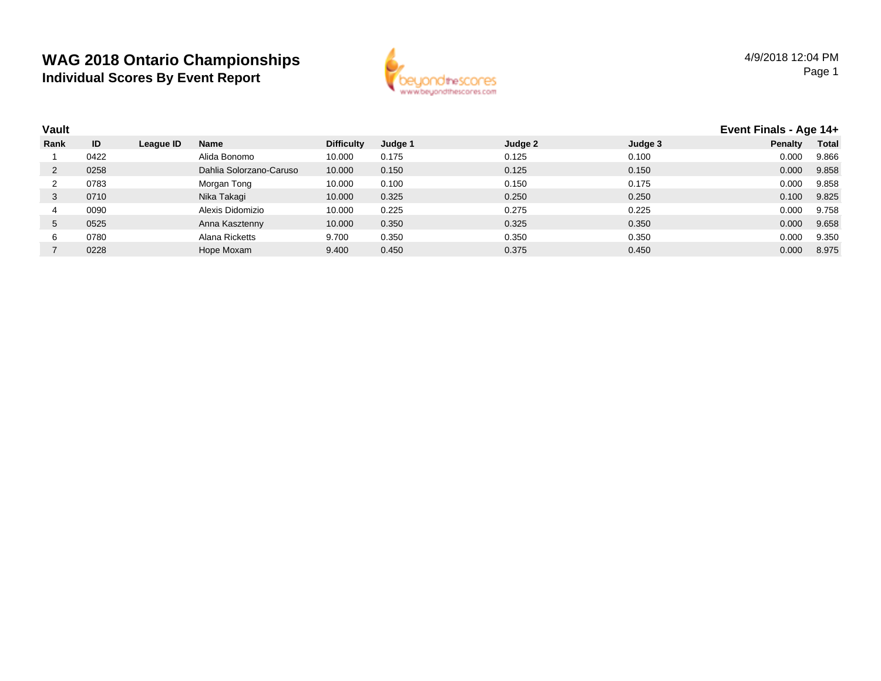

| Vault |      |           |                         |                   |         |         |         | Event Finals - Age 14+ |              |
|-------|------|-----------|-------------------------|-------------------|---------|---------|---------|------------------------|--------------|
| Rank  | ID   | League ID | Name                    | <b>Difficulty</b> | Judge 1 | Judge 2 | Judge 3 | <b>Penalty</b>         | <b>Total</b> |
|       | 0422 |           | Alida Bonomo            | 10.000            | 0.175   | 0.125   | 0.100   | 0.000                  | 9.866        |
|       | 0258 |           | Dahlia Solorzano-Caruso | 10.000            | 0.150   | 0.125   | 0.150   | 0.000                  | 9.858        |
|       | 0783 |           | Morgan Tong             | 10.000            | 0.100   | 0.150   | 0.175   | 0.000                  | 9.858        |
| 3     | 0710 |           | Nika Takagi             | 10.000            | 0.325   | 0.250   | 0.250   | 0.100                  | 9.825        |
| 4     | 0090 |           | Alexis Didomizio        | 10.000            | 0.225   | 0.275   | 0.225   | 0.000                  | 9.758        |
| 5     | 0525 |           | Anna Kasztenny          | 10.000            | 0.350   | 0.325   | 0.350   | 0.000                  | 9.658        |
| 6     | 0780 |           | Alana Ricketts          | 9.700             | 0.350   | 0.350   | 0.350   | 0.000                  | 9.350        |
|       | 0228 |           | Hope Moxam              | 9.400             | 0.450   | 0.375   | 0.450   | 0.000                  | 8.975        |
|       |      |           |                         |                   |         |         |         |                        |              |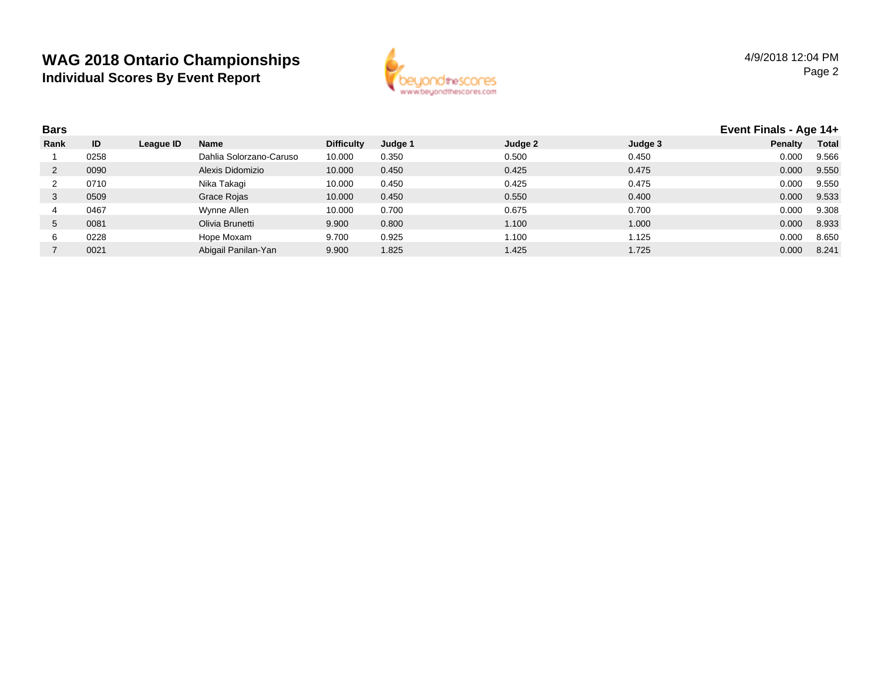

| <b>Bars</b> |      |           |                         |                   |         |         |         |         | Event Finals - Age 14+ |  |
|-------------|------|-----------|-------------------------|-------------------|---------|---------|---------|---------|------------------------|--|
| Rank        | ID   | League ID | <b>Name</b>             | <b>Difficulty</b> | Judge 1 | Judge 2 | Judge 3 | Penalty | <b>Total</b>           |  |
|             | 0258 |           | Dahlia Solorzano-Caruso | 10.000            | 0.350   | 0.500   | 0.450   | 0.000   | 9.566                  |  |
|             | 0090 |           | Alexis Didomizio        | 10.000            | 0.450   | 0.425   | 0.475   | 0.000   | 9.550                  |  |
|             | 0710 |           | Nika Takagi             | 10.000            | 0.450   | 0.425   | 0.475   | 0.000   | 9.550                  |  |
|             | 0509 |           | Grace Rojas             | 10.000            | 0.450   | 0.550   | 0.400   | 0.000   | 9.533                  |  |
|             | 0467 |           | Wynne Allen             | 10.000            | 0.700   | 0.675   | 0.700   | 0.000   | 9.308                  |  |
| 5           | 0081 |           | Olivia Brunetti         | 9.900             | 0.800   | 1.100   | 1.000   | 0.000   | 8.933                  |  |
|             | 0228 |           | Hope Moxam              | 9.700             | 0.925   | 1.100   | 1.125   | 0.000   | 8.650                  |  |
|             | 0021 |           | Abigail Panilan-Yan     | 9.900             | 1.825   | 1.425   | 1.725   | 0.000   | 8.241                  |  |
|             |      |           |                         |                   |         |         |         |         |                        |  |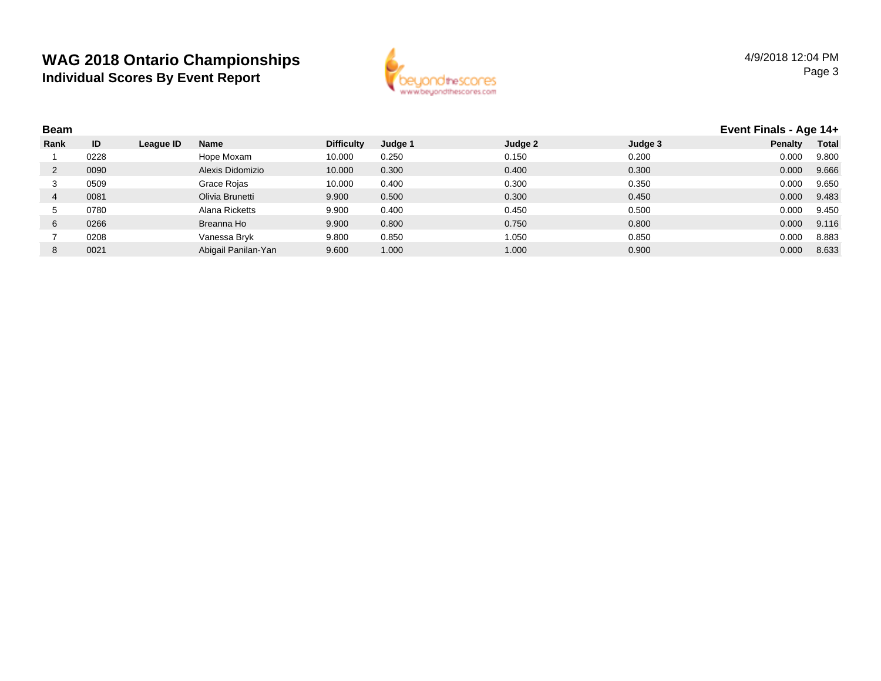

| <b>Beam</b> |      |           |                     |                   |         |         |         | Event Finals - Age 14+ |              |
|-------------|------|-----------|---------------------|-------------------|---------|---------|---------|------------------------|--------------|
| Rank        | ID   | League ID | <b>Name</b>         | <b>Difficulty</b> | Judge 1 | Judge 2 | Judge 3 | <b>Penalty</b>         | <b>Total</b> |
|             | 0228 |           | Hope Moxam          | 10.000            | 0.250   | 0.150   | 0.200   | 0.000                  | 9.800        |
|             | 0090 |           | Alexis Didomizio    | 10.000            | 0.300   | 0.400   | 0.300   | 0.000                  | 9.666        |
|             | 0509 |           | Grace Rojas         | 10.000            | 0.400   | 0.300   | 0.350   | 0.000                  | 9.650        |
| 4           | 0081 |           | Olivia Brunetti     | 9.900             | 0.500   | 0.300   | 0.450   | 0.000                  | 9.483        |
| C.          | 0780 |           | Alana Ricketts      | 9.900             | 0.400   | 0.450   | 0.500   | 0.000                  | 9.450        |
| 6           | 0266 |           | Breanna Ho          | 9.900             | 0.800   | 0.750   | 0.800   | 0.000                  | 9.116        |
|             | 0208 |           | Vanessa Bryk        | 9.800             | 0.850   | 1.050   | 0.850   | 0.000                  | 8.883        |
| 8           | 0021 |           | Abigail Panilan-Yan | 9.600             | 1.000   | 1.000   | 0.900   | 0.000                  | 8.633        |
|             |      |           |                     |                   |         |         |         |                        |              |